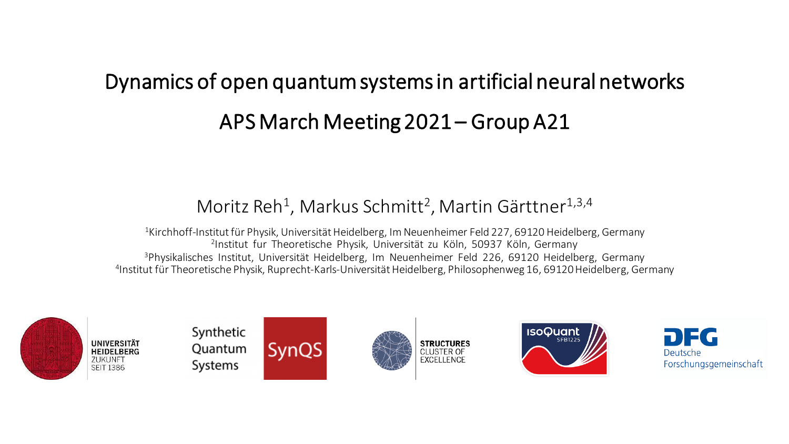# Dynamics of open quantum systems in artificial neural networks APS March Meeting 2021 – Group A21

## Moritz Reh<sup>1</sup>, Markus Schmitt<sup>2</sup>, Martin Gärttner<sup>1,3,4</sup>

<sup>1</sup>Kirchhoff-Institut für Physik, Universität Heidelberg, Im Neuenheimer Feld 227, 69120 Heidelberg, Germany Institut fur Theoretische Physik, Universität zu Köln, 50937 Köln, Germany Physikalisches Institut, Universität Heidelberg, Im Neuenheimer Feld 226, 69120 Heidelberg, Germany Institut für Theoretische Physik, Ruprecht-Karls-Universität Heidelberg, Philosophenweg 16, 69120 Heidelberg, Germany



Systems







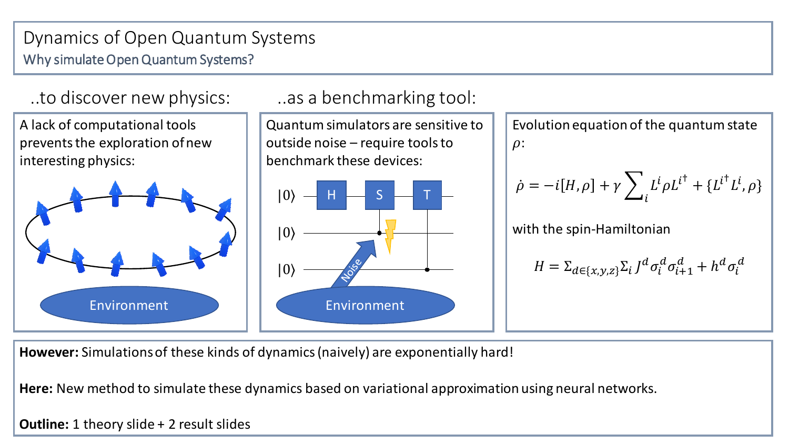#### Dynamics of Open Quantum Systems Why simulate Open Quantum Systems?



**However:** Simulations of these kinds of dynamics (naively) are exponentially hard!

**Here:** New method to simulate these dynamics based on variational approximation using neural networks.

**Outline:** 1 theory slide + 2 result slides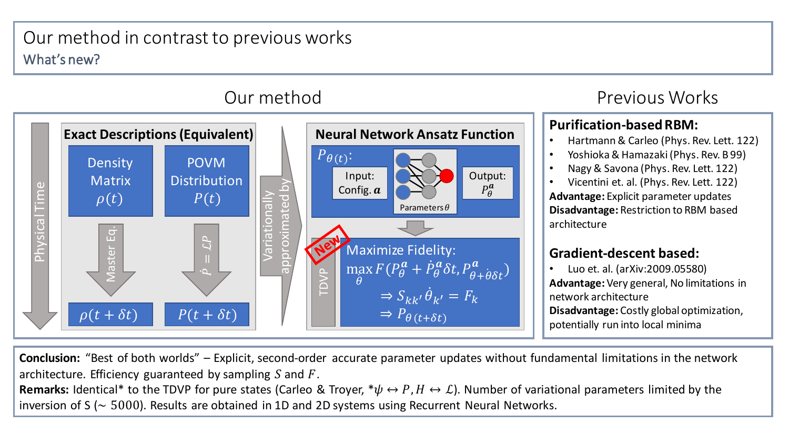## Our method in contrast to previous works What's new?



## Previous Works

#### **Purification-based RBM:**

- Hartmann & Carleo (Phys. Rev. Lett. 122)
- Yoshioka & Hamazaki(Phys. Rev. B 99)
- Nagy & Savona (Phys. Rev. Lett. 122)
- Vicentini et. al. (Phys. Rev. Lett. 122)

**Advantage:** Explicit parameter updates **Disadvantage:** Restriction to RBM based architecture

#### **Gradient-descent based:**

• Luo et. al. (arXiv:2009.05580) **Advantage:** Very general, No limitations in network architecture **Disadvantage:** Costly global optimization, potentially run into local minima

**Conclusion:** "Best of both worlds" – Explicit, second-order accurate parameter updates without fundamental limitations in the network architecture. Efficiency guaranteed by sampling S and  $F$ .

**Remarks:** Identical\* to the TDVP for pure states (Carleo & Troyer,  $*\psi \leftrightarrow P$ ,  $H \leftrightarrow L$ ). Number of variational parameters limited by the inversion of S (∼ 5000). Results are obtained in 1D and 2D systems using Recurrent Neural Networks.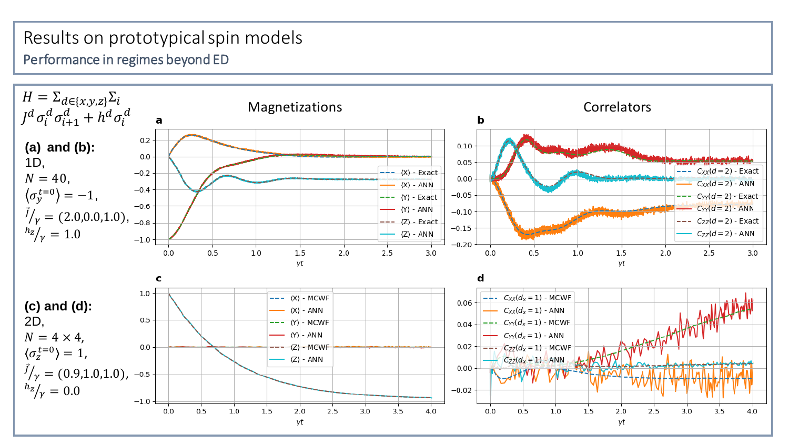## Results on prototypical spin models Performance in regimes beyond ED